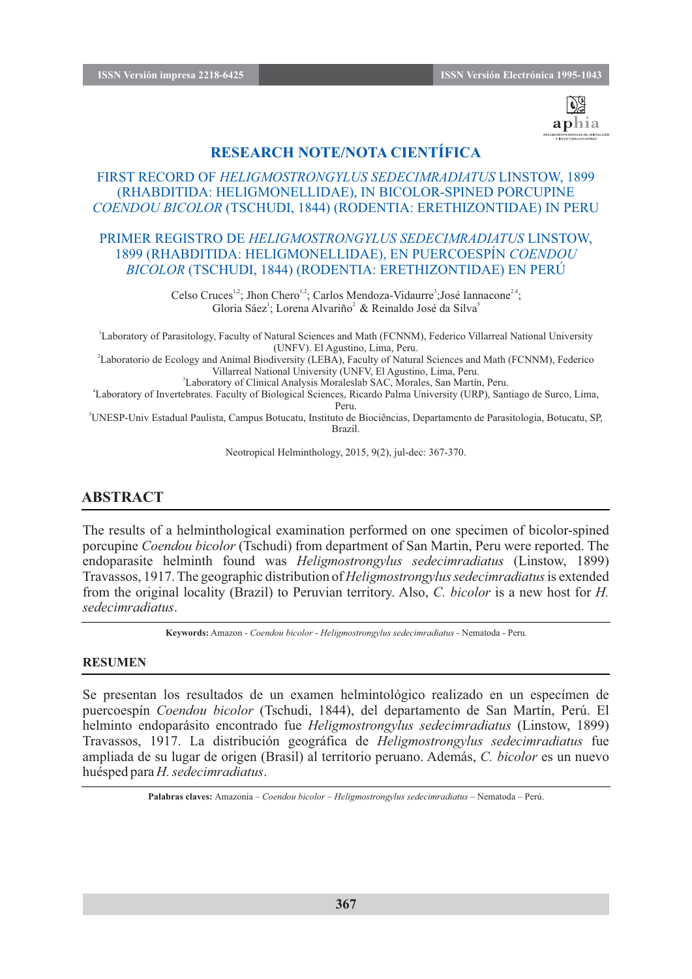

# **RESEARCH NOTE/NOTA CIENTÍFICA**

## FIRST RECORD OF *HELIGMOSTRONGYLUS SEDECIMRADIATUS* LINSTOW, 1899 (RHABDITIDA: HELIGMONELLIDAE), IN BICOLOR-SPINED PORCUPINE *COENDOU BICOLOR* (TSCHUDI, 1844) (RODENTIA: ERETHIZONTIDAE) IN PERU

### PRIMER REGISTRO DE *HELIGMOSTRONGYLUS SEDECIMRADIATUS* LINSTOW, 1899 (RHABDITIDA: HELIGMONELLIDAE), EN PUERCOESPÍN *COENDOU BICOLOR* (TSCHUDI, 1844) (RODENTIA: ERETHIZONTIDAE) EN PERÚ

Celso Cruces<sup>1,2</sup>; Jhon Chero<sup>1,2</sup>; Carlos Mendoza-Vidaurre<sup>3</sup>; José Iannacone<sup>2,4</sup>; Gloria Sáez<sup>1</sup>; Lorena Alvariño<sup>2</sup> & Reinaldo José da Silva<sup>5</sup>

<sup>1</sup>Laboratory of Parasitology, Faculty of Natural Sciences and Math (FCNNM), Federico Villarreal National University (UNFV). El Agustino, Lima, Peru.

2 Laboratorio de Ecology and Animal Biodiversity (LEBA), Faculty of Natural Sciences and Math (FCNNM), Federico Villarreal National University (UNFV, El Agustino, Lima, Peru.

3 Laboratory of Clinical Analysis Moraleslab SAC, Morales, San Martín, Peru.

4 Laboratory of Invertebrates. Faculty of Biological Sciences, Ricardo Palma University (URP), Santiago de Surco, Lima, Peru.

<sup>5</sup>UNESP-Univ Estadual Paulista, Campus Botucatu, Instituto de Biociências, Departamento de Parasitologia, Botucatu, SP, Brazil.

Neotropical Helminthology, 2015, 9(2), jul-dec: 367-370.

## **ABSTRACT**

The results of a helminthological examination performed on one specimen of bicolor-spined porcupine *Coendou bicolor* (Tschudi) from department of San Martin, Peru were reported. The endoparasite helminth found was *Heligmostrongylus sedecimradiatus* (Linstow, 1899) Travassos, 1917. The geographic distribution of *Heligmostrongylus sedecimradiatus*is extended from the original locality (Brazil) to Peruvian territory. Also, *C. bicolor* is a new host for *H. sedecimradiatus*.

**Keywords:** Amazon - *Coendou bicolor* - *Heligmostrongylus sedecimradiatus* - Nematoda - Peru*.*

#### **RESUMEN**

Se presentan los resultados de un examen helmintológico realizado en un especímen de puercoespín *Coendou bicolor* (Tschudi, 1844), del departamento de San Martín, Perú. El helminto endoparásito encontrado fue *Heligmostrongylus sedecimradiatus* (Linstow, 1899) Travassos, 1917. La distribución geográfica de *Heligmostrongylus sedecimradiatus* fue ampliada de su lugar de origen (Brasil) al territorio peruano. Además, *C. bicolor* es un nuevo huésped para *H. sedecimradiatus*.

**Palabras claves:** Amazonia – *Coendou bicolor* – *Heligmostrongylus sedecimradiatus* – Nematoda – Perú.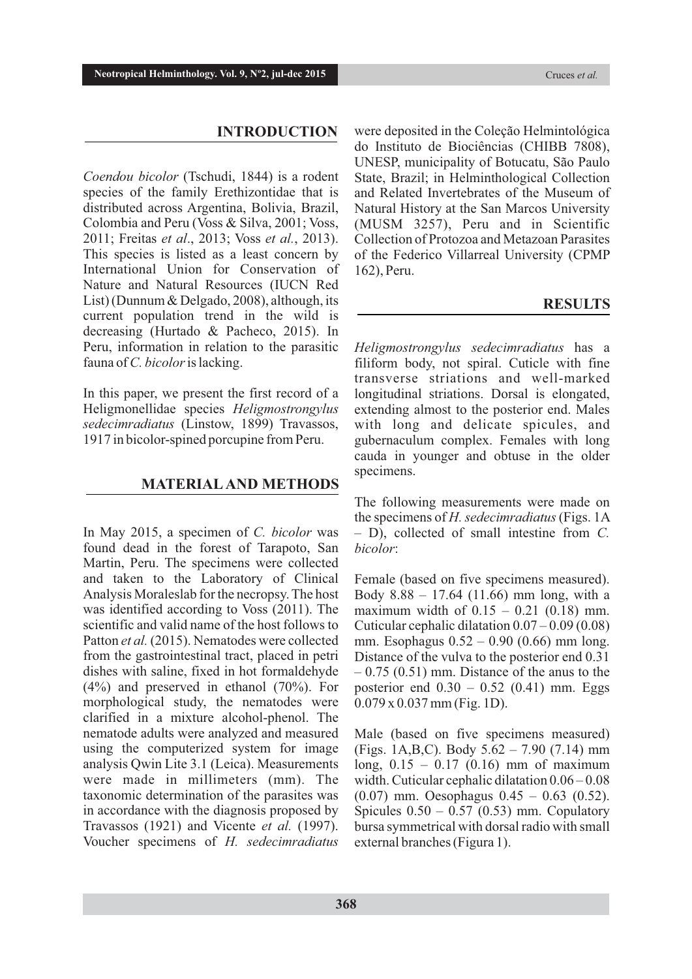#### **INTRODUCTION**

*Coendou bicolor* (Tschudi, 1844) is a rodent species of the family Erethizontidae that is distributed across Argentina, Bolivia, Brazil, Colombia and Peru (Voss & Silva, 2001; Voss, 2011; Freitas *et al*., 2013; Voss *et al.*, 2013). This species is listed as a least concern by International Union for Conservation of Nature and Natural Resources (IUCN Red List) (Dunnum & Delgado, 2008), although, its current population trend in the wild is decreasing (Hurtado & Pacheco, 2015). In Peru, information in relation to the parasitic fauna of *C. bicolor* is lacking.

In this paper, we present the first record of a Heligmonellidae species *Heligmostrongylus sedecimradiatus* (Linstow, 1899) Travassos, 1917 in bicolor-spined porcupine from Peru.

#### **MATERIALAND METHODS**

In May 2015, a specimen of *C. bicolor* was found dead in the forest of Tarapoto, San Martin, Peru. The specimens were collected and taken to the Laboratory of Clinical Analysis Moraleslab for the necropsy. The host was identified according to Voss (2011). The scientific and valid name of the host follows to Patton *et al.* (2015). Nematodes were collected from the gastrointestinal tract, placed in petri dishes with saline, fixed in hot formaldehyde (4%) and preserved in ethanol (70%). For morphological study, the nematodes were clarified in a mixture alcohol-phenol. The nematode adults were analyzed and measured using the computerized system for image analysis Qwin Lite 3.1 (Leica). Measurements were made in millimeters (mm). The taxonomic determination of the parasites was in accordance with the diagnosis proposed by Travassos (1921) and Vicente *et al.* (1997). Voucher specimens of *H. sedecimradiatus*

were deposited in the Coleção Helmintológica do Instituto de Biociências (CHIBB 7808), UNESP, municipality of Botucatu, São Paulo State, Brazil; in Helminthological Collection and Related Invertebrates of the Museum of Natural History at the San Marcos University (MUSM 3257), Peru and in Scientific Collection of Protozoa and Metazoan Parasites of the Federico Villarreal University (CPMP 162), Peru.

#### **RESULTS**

*Heligmostrongylus sedecimradiatus* has a filiform body, not spiral. Cuticle with fine transverse striations and well-marked longitudinal striations. Dorsal is elongated, extending almost to the posterior end. Males with long and delicate spicules, and gubernaculum complex. Females with long cauda in younger and obtuse in the older specimens.

The following measurements were made on the specimens of *H. sedecimradiatus*(Figs. 1A – D), collected of small intestine from *C. bicolor*:

Female (based on five specimens measured). Body 8.88 – 17.64 (11.66) mm long, with a maximum width of  $0.15 - 0.21$  (0.18) mm. Cuticular cephalic dilatation 0.07 – 0.09 (0.08) mm. Esophagus 0.52 – 0.90 (0.66) mm long. Distance of the vulva to the posterior end 0.31  $-0.75$  (0.51) mm. Distance of the anus to the posterior end  $0.30 - 0.52$  (0.41) mm. Eggs 0.079 x 0.037 mm (Fig. 1D).

Male (based on five specimens measured) (Figs. 1A,B,C). Body 5.62 – 7.90 (7.14) mm long, 0.15 – 0.17 (0.16) mm of maximum width. Cuticular cephalic dilatation 0.06 – 0.08 (0.07) mm. Oesophagus 0.45 – 0.63 (0.52). Spicules  $0.50 - 0.57$  (0.53) mm. Copulatory bursa symmetrical with dorsal radio with small external branches (Figura 1).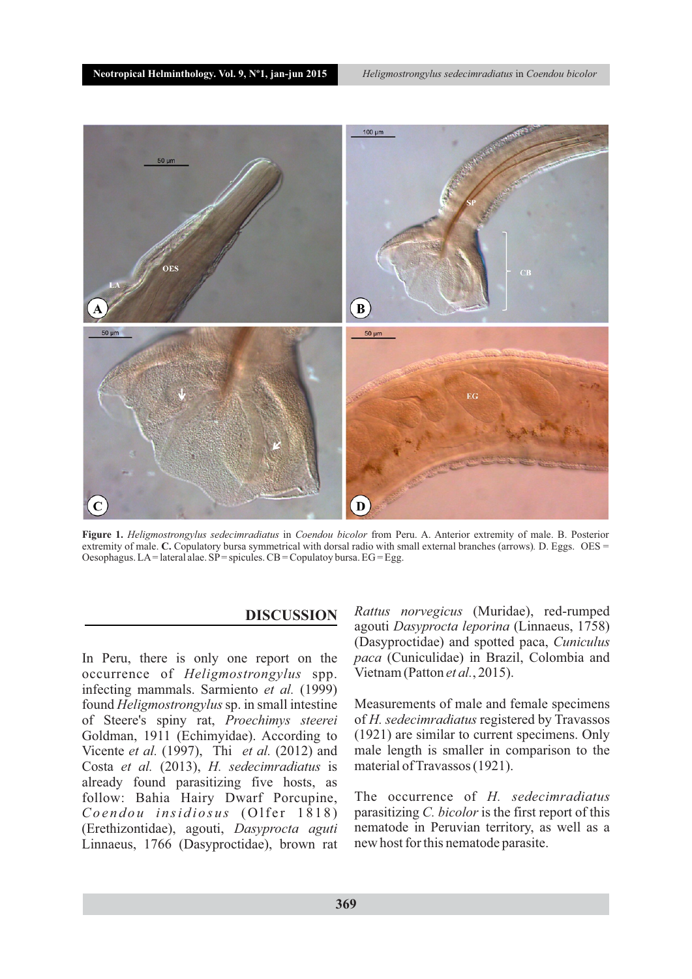

**Figure 1.** *Heligmostrongylus sedecimradiatus* in *Coendou bicolor* from Peru. A. Anterior extremity of male. B. Posterior extremity of male. **C.** Copulatory bursa symmetrical with dorsal radio with small external branches (arrows). D. Eggs. OES = Oesophagus. LA= lateral alae.  $SP =$  spicules.  $CB =$  Copulatoy bursa.  $EG =$  Egg.

### **DISCUSSION**

In Peru, there is only one report on the occurrence of *Heligmostrongylus* spp. infecting mammals. Sarmiento *et al.* (1999) found *Heligmostrongylus*sp. in small intestine of Steere's spiny rat, *Proechimys steerei* Goldman, 1911 (Echimyidae). According to Vicente *et al.* (1997), Thi *et al.* (2012) and Costa *et al.* (2013), *H. sedecimradiatus* is already found parasitizing five hosts, as follow: Bahia Hairy Dwarf Porcupine, *Coendou insidiosus* (Olfer 1818) (Erethizontidae), agouti, *Dasyprocta aguti*  Linnaeus, 1766 (Dasyproctidae), brown rat

*Rattus norvegicus* (Muridae), red-rumped agouti *Dasyprocta leporina* (Linnaeus, 1758) (Dasyproctidae) and spotted paca, *Cuniculus paca* (Cuniculidae) in Brazil, Colombia and Vietnam (Patton *et al.*, 2015).

Measurements of male and female specimens of *H. sedecimradiatus* registered by Travassos (1921) are similar to current specimens. Only male length is smaller in comparison to the material of Travassos (1921).

The occurrence of *H. sedecimradiatus* parasitizing *C. bicolor* is the first report of this nematode in Peruvian territory, as well as a new host for this nematode parasite.